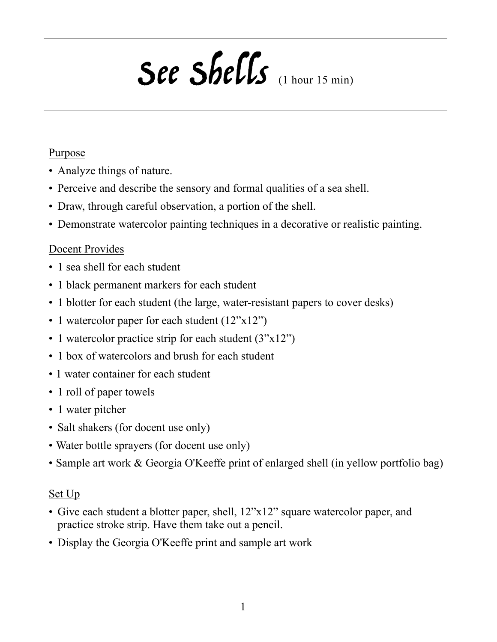# See Shells (1 hour 15 min)

#### Purpose

- Analyze things of nature.
- Perceive and describe the sensory and formal qualities of a sea shell.
- Draw, through careful observation, a portion of the shell.
- Demonstrate watercolor painting techniques in a decorative or realistic painting.

#### Docent Provides

- 1 sea shell for each student
- 1 black permanent markers for each student
- 1 blotter for each student (the large, water-resistant papers to cover desks)
- 1 watercolor paper for each student  $(12^{\prime\prime}x12^{\prime\prime})$
- 1 watercolor practice strip for each student  $(3"x12")$
- 1 box of watercolors and brush for each student
- 1 water container for each student
- 1 roll of paper towels
- 1 water pitcher
- Salt shakers (for docent use only)
- Water bottle sprayers (for docent use only)
- Sample art work & Georgia O'Keeffe print of enlarged shell (in yellow portfolio bag)

#### Set Up

- Give each student a blotter paper, shell, 12"x12" square watercolor paper, and practice stroke strip. Have them take out a pencil.
- Display the Georgia O'Keeffe print and sample art work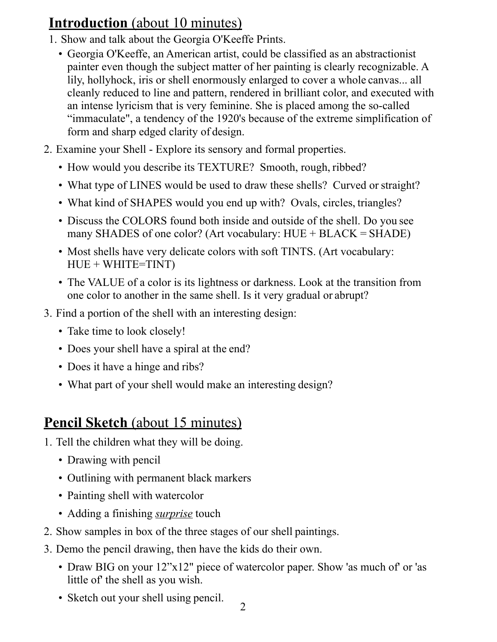## **Introduction** (about 10 minutes)

- 1. Show and talk about the Georgia O'Keeffe Prints.
	- Georgia O'Keeffe, an American artist, could be classified as an abstractionist painter even though the subject matter of her painting is clearly recognizable. A lily, hollyhock, iris or shell enormously enlarged to cover a whole canvas... all cleanly reduced to line and pattern, rendered in brilliant color, and executed with an intense lyricism that is very feminine. She is placed among the so-called "immaculate", a tendency of the 1920's because of the extreme simplification of form and sharp edged clarity of design.
- 2. Examine your Shell Explore its sensory and formal properties.
	- How would you describe its TEXTURE? Smooth, rough, ribbed?
	- What type of LINES would be used to draw these shells? Curved or straight?
	- What kind of SHAPES would you end up with? Ovals, circles, triangles?
	- Discuss the COLORS found both inside and outside of the shell. Do you see many SHADES of one color? (Art vocabulary: HUE + BLACK = SHADE)
	- Most shells have very delicate colors with soft TINTS. (Art vocabulary:  $HUE + WHITE=TIMT)$
	- The VALUE of a color is its lightness or darkness. Look at the transition from one color to another in the same shell. Is it very gradual or abrupt?
- 3. Find a portion of the shell with an interesting design:
	- Take time to look closely!
	- Does your shell have a spiral at the end?
	- Does it have a hinge and ribs?
	- What part of your shell would make an interesting design?

## **Pencil Sketch** (about 15 minutes)

- 1. Tell the children what they will be doing.
	- Drawing with pencil
	- Outlining with permanent black markers
	- Painting shell with watercolor
	- Adding a finishing *surprise* touch
- 2. Show samples in box of the three stages of our shell paintings.
- 3. Demo the pencil drawing, then have the kids do their own.
	- Draw BIG on your 12"x12" piece of watercolor paper. Show 'as much of' or 'as little of' the shell as you wish.
	- Sketch out your shell using pencil.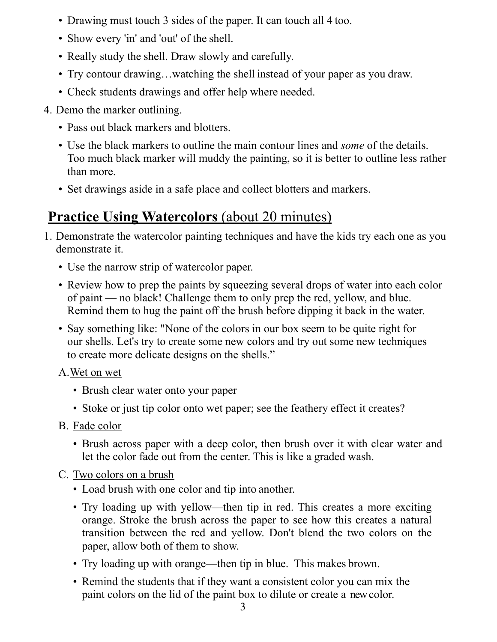- Drawing must touch 3 sides of the paper. It can touch all 4 too.
- Show every 'in' and 'out' of the shell.
- Really study the shell. Draw slowly and carefully.
- Try contour drawing…watching the shell instead of your paper as you draw.
- Check students drawings and offer help where needed.
- 4. Demo the marker outlining.
	- Pass out black markers and blotters.
	- Use the black markers to outline the main contour lines and *some* of the details. Too much black marker will muddy the painting, so it is better to outline less rather than more.
	- Set drawings aside in a safe place and collect blotters and markers.

## **Practice Using Watercolors** (about 20 minutes)

- 1. Demonstrate the watercolor painting techniques and have the kids try each one as you demonstrate it.
	- Use the narrow strip of watercolor paper.
	- Review how to prep the paints by squeezing several drops of water into each color of paint — no black! Challenge them to only prep the red, yellow, and blue. Remind them to hug the paint off the brush before dipping it back in the water.
	- Say something like: "None of the colors in our box seem to be quite right for our shells. Let's try to create some new colors and try out some new techniques to create more delicate designs on the shells."

#### A.Wet on wet

- Brush clear water onto your paper
- Stoke or just tip color onto wet paper; see the feathery effect it creates?
- B. Fade color
	- Brush across paper with a deep color, then brush over it with clear water and let the color fade out from the center. This is like a graded wash.
- C. Two colors on a brush
	- Load brush with one color and tip into another.
	- Try loading up with yellow—then tip in red. This creates a more exciting orange. Stroke the brush across the paper to see how this creates a natural transition between the red and yellow. Don't blend the two colors on the paper, allow both of them to show.
	- Try loading up with orange—then tip in blue. This makes brown.
	- Remind the students that if they want a consistent color you can mix the paint colors on the lid of the paint box to dilute or create a new color.